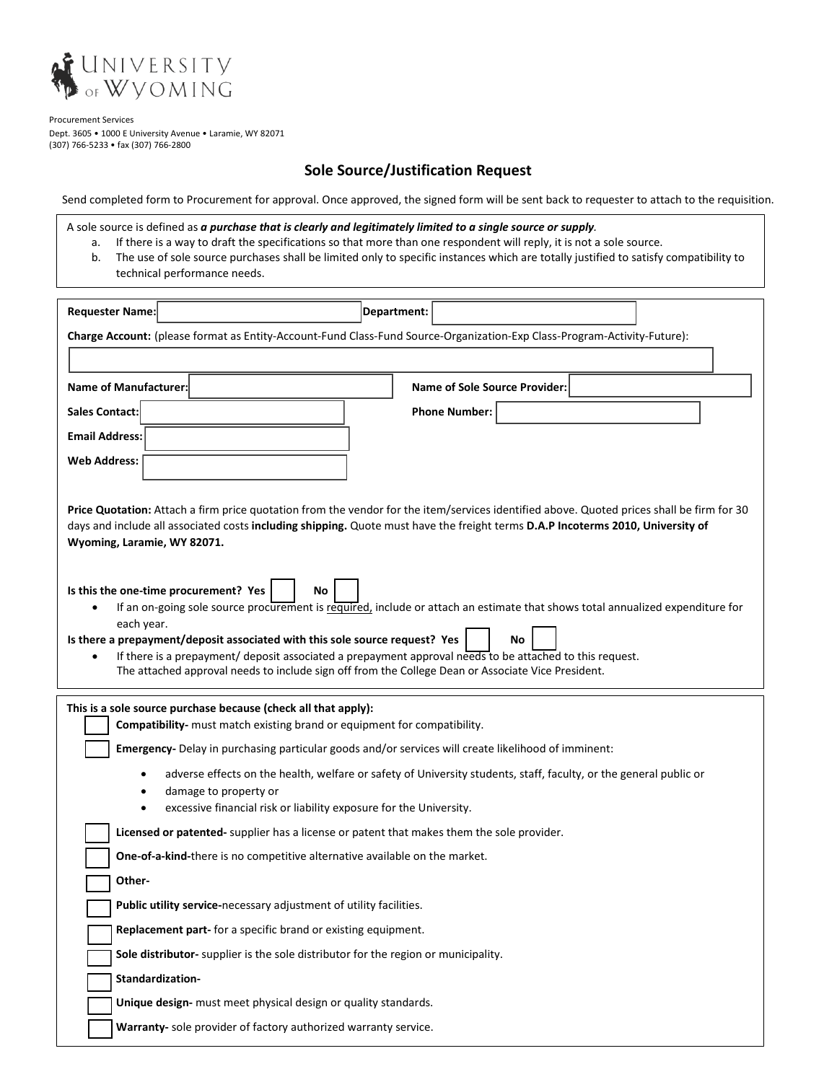

Procurement Services Dept. 3605 • 1000 E University Avenue • Laramie, WY 82071 (307) 766-5233 • fax (307) 766-2800

## **Sole Source/Justification Request**

Send completed form to Procurement for approval. Once approved, the signed form will be sent back to requester to attach to the requisition.

A sole source is defined as *a purchase that is clearly and legitimately limited to a single source or supply.* 

- a. If there is a way to draft the specifications so that more than one respondent will reply, it is not a sole source.
- b. The use of sole source purchases shall be limited only to specific instances which are totally justified to satisfy compatibility to technical performance needs.

| <b>Requester Name:</b>                                                                                                                                                                                                                                                                                                                                                                                                                                                                            | Department:                   |  |
|---------------------------------------------------------------------------------------------------------------------------------------------------------------------------------------------------------------------------------------------------------------------------------------------------------------------------------------------------------------------------------------------------------------------------------------------------------------------------------------------------|-------------------------------|--|
| Charge Account: (please format as Entity-Account-Fund Class-Fund Source-Organization-Exp Class-Program-Activity-Future):                                                                                                                                                                                                                                                                                                                                                                          |                               |  |
|                                                                                                                                                                                                                                                                                                                                                                                                                                                                                                   |                               |  |
| Name of Manufacturer:                                                                                                                                                                                                                                                                                                                                                                                                                                                                             | Name of Sole Source Provider: |  |
| <b>Sales Contact:</b>                                                                                                                                                                                                                                                                                                                                                                                                                                                                             | <b>Phone Number:</b>          |  |
| <b>Email Address:</b>                                                                                                                                                                                                                                                                                                                                                                                                                                                                             |                               |  |
| <b>Web Address:</b>                                                                                                                                                                                                                                                                                                                                                                                                                                                                               |                               |  |
| Price Quotation: Attach a firm price quotation from the vendor for the item/services identified above. Quoted prices shall be firm for 30<br>days and include all associated costs including shipping. Quote must have the freight terms D.A.P Incoterms 2010, University of<br>Wyoming, Laramie, WY 82071.                                                                                                                                                                                       |                               |  |
| Is this the one-time procurement? Yes<br>No<br>If an on-going sole source procurement is required, include or attach an estimate that shows total annualized expenditure for<br>each year.<br>Is there a prepayment/deposit associated with this sole source request? Yes<br>No<br>If there is a prepayment/ deposit associated a prepayment approval needs to be attached to this request.<br>The attached approval needs to include sign off from the College Dean or Associate Vice President. |                               |  |
| This is a sole source purchase because (check all that apply):<br>Compatibility- must match existing brand or equipment for compatibility.                                                                                                                                                                                                                                                                                                                                                        |                               |  |
| Emergency- Delay in purchasing particular goods and/or services will create likelihood of imminent:                                                                                                                                                                                                                                                                                                                                                                                               |                               |  |
| adverse effects on the health, welfare or safety of University students, staff, faculty, or the general public or<br>damage to property or<br>excessive financial risk or liability exposure for the University.                                                                                                                                                                                                                                                                                  |                               |  |
| Licensed or patented- supplier has a license or patent that makes them the sole provider.                                                                                                                                                                                                                                                                                                                                                                                                         |                               |  |
| One-of-a-kind-there is no competitive alternative available on the market.                                                                                                                                                                                                                                                                                                                                                                                                                        |                               |  |
| Other-                                                                                                                                                                                                                                                                                                                                                                                                                                                                                            |                               |  |
| Public utility service-necessary adjustment of utility facilities.                                                                                                                                                                                                                                                                                                                                                                                                                                |                               |  |
| Replacement part- for a specific brand or existing equipment.                                                                                                                                                                                                                                                                                                                                                                                                                                     |                               |  |
| Sole distributor- supplier is the sole distributor for the region or municipality.                                                                                                                                                                                                                                                                                                                                                                                                                |                               |  |
| Standardization-                                                                                                                                                                                                                                                                                                                                                                                                                                                                                  |                               |  |
| Unique design- must meet physical design or quality standards.                                                                                                                                                                                                                                                                                                                                                                                                                                    |                               |  |
| Warranty- sole provider of factory authorized warranty service.                                                                                                                                                                                                                                                                                                                                                                                                                                   |                               |  |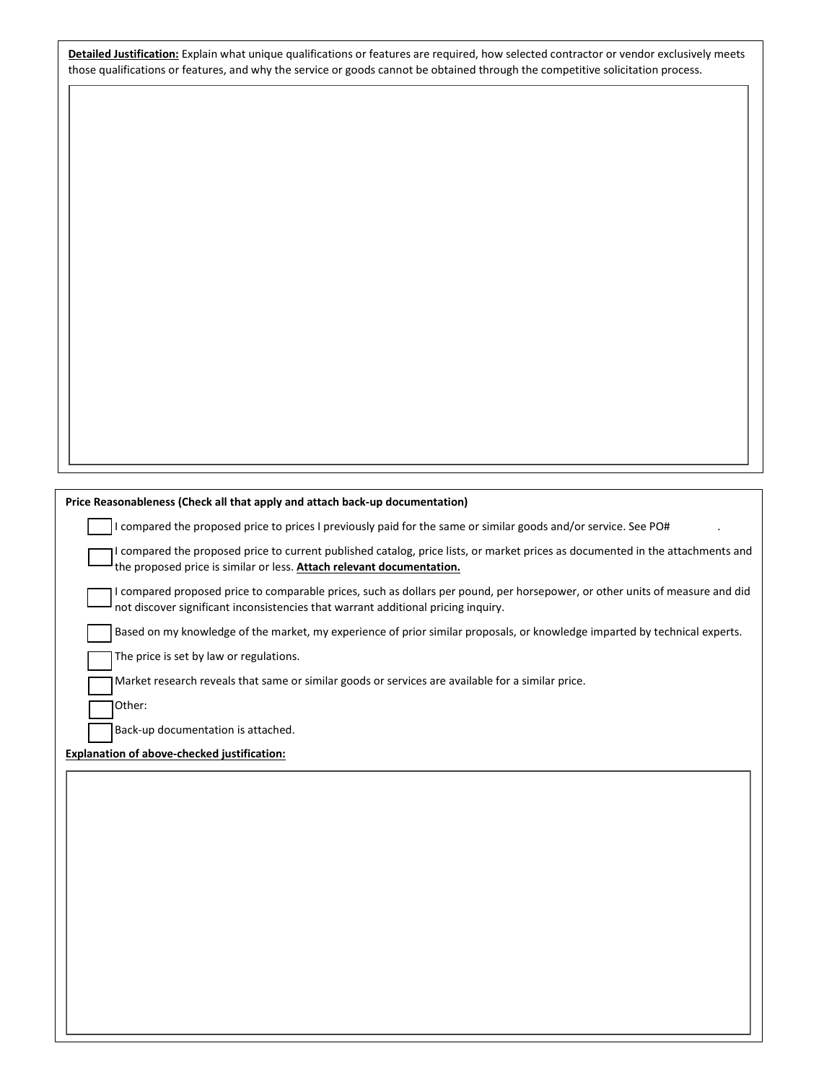**Detailed Justification:** Explain what unique qualifications or features are required, how selected contractor or vendor exclusively meets those qualifications or features, and why the service or goods cannot be obtained through the competitive solicitation process.

| Price Reasonableness (Check all that apply and attach back-up documentation)                                                                                                                                      |  |
|-------------------------------------------------------------------------------------------------------------------------------------------------------------------------------------------------------------------|--|
| I compared the proposed price to prices I previously paid for the same or similar goods and/or service. See PO#                                                                                                   |  |
| I compared the proposed price to current published catalog, price lists, or market prices as documented in the attachments and<br>the proposed price is similar or less. Attach relevant documentation.           |  |
| I compared proposed price to comparable prices, such as dollars per pound, per horsepower, or other units of measure and did<br>not discover significant inconsistencies that warrant additional pricing inquiry. |  |
| Based on my knowledge of the market, my experience of prior similar proposals, or knowledge imparted by technical experts.                                                                                        |  |
| The price is set by law or regulations.                                                                                                                                                                           |  |
| Market research reveals that same or similar goods or services are available for a similar price.                                                                                                                 |  |
| Other:                                                                                                                                                                                                            |  |
| Back-up documentation is attached.                                                                                                                                                                                |  |
| <b>Explanation of above-checked justification:</b>                                                                                                                                                                |  |
|                                                                                                                                                                                                                   |  |
|                                                                                                                                                                                                                   |  |
|                                                                                                                                                                                                                   |  |
|                                                                                                                                                                                                                   |  |
|                                                                                                                                                                                                                   |  |
|                                                                                                                                                                                                                   |  |
|                                                                                                                                                                                                                   |  |
|                                                                                                                                                                                                                   |  |
|                                                                                                                                                                                                                   |  |
|                                                                                                                                                                                                                   |  |